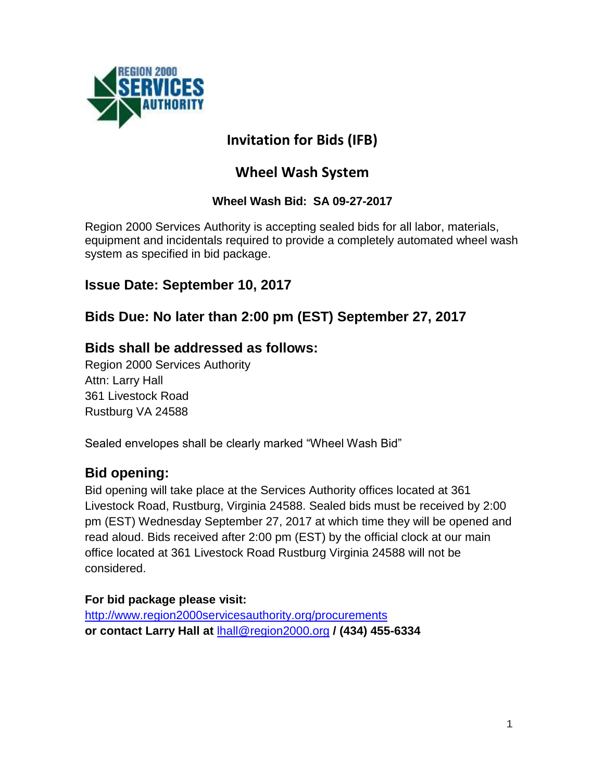

# **Invitation for Bids (IFB)**

# **Wheel Wash System**

# **Wheel Wash Bid: SA 09-27-2017**

Region 2000 Services Authority is accepting sealed bids for all labor, materials, equipment and incidentals required to provide a completely automated wheel wash system as specified in bid package.

# **Issue Date: September 10, 2017**

# **Bids Due: No later than 2:00 pm (EST) September 27, 2017**

# **Bids shall be addressed as follows:**

Region 2000 Services Authority Attn: Larry Hall 361 Livestock Road Rustburg VA 24588

Sealed envelopes shall be clearly marked "Wheel Wash Bid"

# **Bid opening:**

Bid opening will take place at the Services Authority offices located at 361 Livestock Road, Rustburg, Virginia 24588. Sealed bids must be received by 2:00 pm (EST) Wednesday September 27, 2017 at which time they will be opened and read aloud. Bids received after 2:00 pm (EST) by the official clock at our main office located at 361 Livestock Road Rustburg Virginia 24588 will not be considered.

# **For bid package please visit:**

<http://www.region2000servicesauthority.org/procurements> **or contact Larry Hall at** [lhall@region2000.org](mailto:lhall@region2000.org) **/ (434) 455-6334**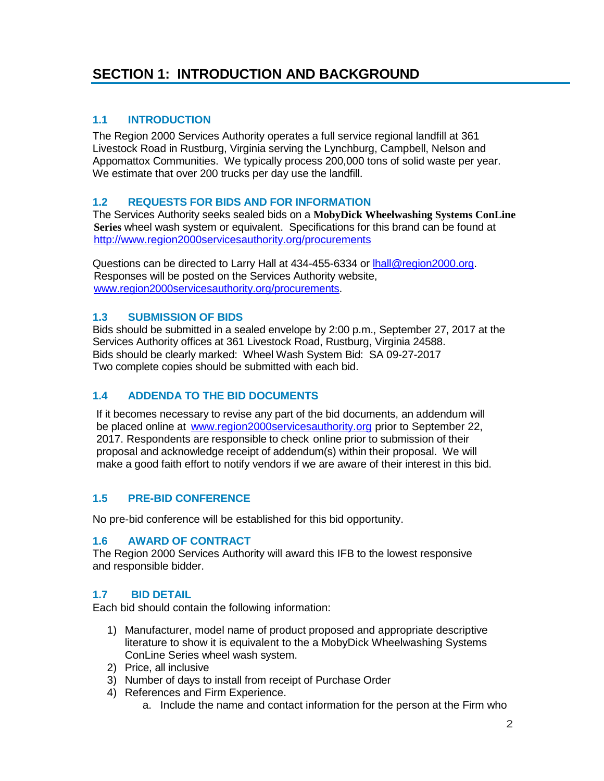# **SECTION 1: INTRODUCTION AND BACKGROUND**

### **1.1 INTRODUCTION**

The Region 2000 Services Authority operates a full service regional landfill at 361 Livestock Road in Rustburg, Virginia serving the Lynchburg, Campbell, Nelson and Appomattox Communities. We typically process 200,000 tons of solid waste per year. We estimate that over 200 trucks per day use the landfill.

#### **1.2 REQUESTS FOR BIDS AND FOR INFORMATION**

The Services Authority seeks sealed bids on a **MobyDick Wheelwashing Systems ConLine Series** wheel wash system or equivalent. Specifications for this brand can be found at <http://www.region2000servicesauthority.org/procurements>

Questions can be directed to Larry Hall at 434-455-6334 or **hall@region2000.org**. Responses will be posted on the Services Authority website, [www.region2000servicesauthority.org/](http://www.region2000servicesauthority.org/)procurements.

#### **1.3 SUBMISSION OF BIDS**

Bids should be submitted in a sealed envelope by 2:00 p.m., September 27, 2017 at the Services Authority offices at 361 Livestock Road, Rustburg, Virginia 24588. Bids should be clearly marked: Wheel Wash System Bid: SA 09-27-2017 Two complete copies should be submitted with each bid.

# **1.4 ADDENDA TO THE BID DOCUMENTS**

If it becomes necessary to revise any part of the bid documents, an addendum will be placed online at [www.region2000servicesauthority.org](http://www.region2000servicesauthority.org/) prior to September 22, 2017. Respondents are responsible to check online prior to submission of their proposal and acknowledge receipt of addendum(s) within their proposal. We will make a good faith effort to notify vendors if we are aware of their interest in this bid.

#### **1.5 PRE-BID CONFERENCE**

No pre-bid conference will be established for this bid opportunity.

#### **1.6 AWARD OF CONTRACT**

The Region 2000 Services Authority will award this IFB to the lowest responsive and responsible bidder.

#### **1.7 BID DETAIL**

Each bid should contain the following information:

- 1) Manufacturer, model name of product proposed and appropriate descriptive literature to show it is equivalent to the a MobyDick Wheelwashing Systems ConLine Series wheel wash system.
- 2) Price, all inclusive
- 3) Number of days to install from receipt of Purchase Order
- 4) References and Firm Experience.
	- a. Include the name and contact information for the person at the Firm who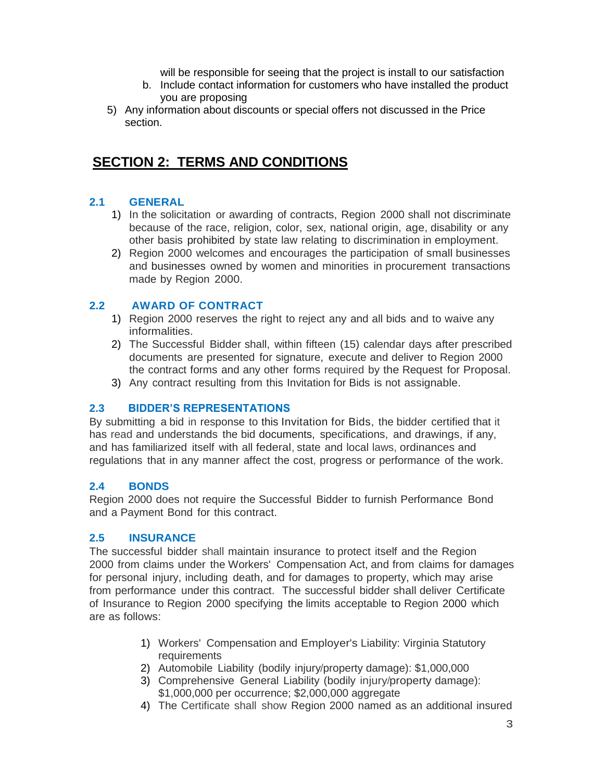will be responsible for seeing that the project is install to our satisfaction

- b. Include contact information for customers who have installed the product you are proposing
- 5) Any information about discounts or special offers not discussed in the Price section.

# **SECTION 2: TERMS AND CONDITIONS**

# **2.1 GENERAL**

- 1) In the solicitation or awarding of contracts, Region 2000 shall not discriminate because of the race, religion, color, sex, national origin, age, disability or any other basis prohibited by state law relating to discrimination in employment.
- 2) Region 2000 welcomes and encourages the participation of small businesses and businesses owned by women and minorities in procurement transactions made by Region 2000.

# **2.2 AWARD OF CONTRACT**

- 1) Region 2000 reserves the right to reject any and all bids and to waive any informalities.
- 2) The Successful Bidder shall, within fifteen (15) calendar days after prescribed documents are presented for signature, execute and deliver to Region 2000 the contract forms and any other forms required by the Request for Proposal.
- 3) Any contract resulting from this Invitation for Bids is not assignable.

# **2.3 BIDDER'S REPRESENTATIONS**

By submitting a bid in response to this Invitation for Bids, the bidder certified that it has read and understands the bid documents, specifications, and drawings, if any, and has familiarized itself with all federal, state and local laws, ordinances and regulations that in any manner affect the cost, progress or performance of the work.

# **2.4 BONDS**

Region 2000 does not require the Successful Bidder to furnish Performance Bond and a Payment Bond for this contract.

# **2.5 INSURANCE**

The successful bidder shall maintain insurance to protect itself and the Region 2000 from claims under the Workers' Compensation Act, and from claims for damages for personal injury, including death, and for damages to property, which may arise from performance under this contract. The successful bidder shall deliver Certificate of Insurance to Region 2000 specifying the limits acceptable to Region 2000 which are as follows:

- 1) Workers' Compensation and Employer's Liability: Virginia Statutory requirements
- 2) Automobile Liability (bodily injury/property damage): \$1,000,000
- 3) Comprehensive General Liability (bodily injury/property damage): \$1,000,000 per occurrence; \$2,000,000 aggregate
- 4) The Certificate shall show Region 2000 named as an additional insured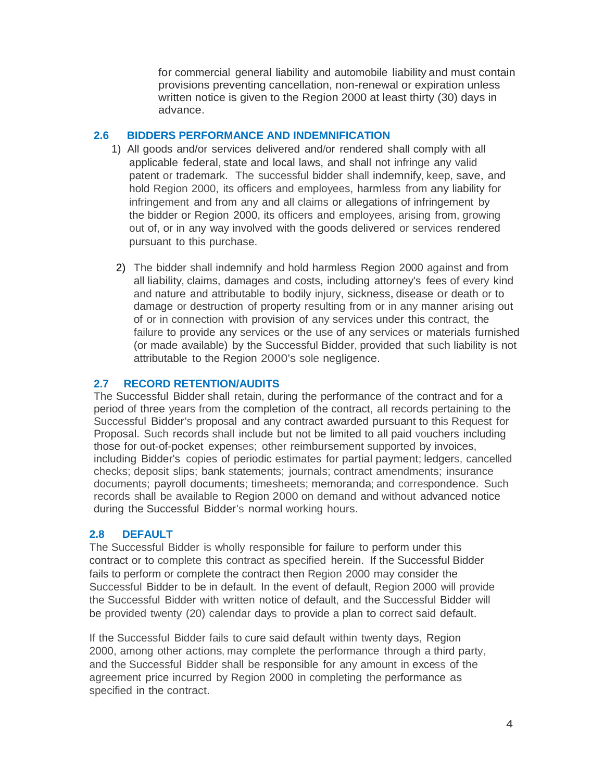for commercial general liability and automobile liability and must contain provisions preventing cancellation, non-renewal or expiration unless written notice is given to the Region 2000 at least thirty (30) days in advance.

#### **2.6 BIDDERS PERFORMANCE AND INDEMNIFICATION**

- 1) All goods and/or services delivered and/or rendered shall comply with all applicable federal, state and local laws, and shall not infringe any valid patent or trademark. The successful bidder shall indemnify, keep, save, and hold Region 2000, its officers and employees, harmless from any liability for infringement and from any and all claims or allegations of infringement by the bidder or Region 2000, its officers and employees, arising from, growing out of, or in any way involved with the goods delivered or services rendered pursuant to this purchase.
- 2) The bidder shall indemnify and hold harmless Region 2000 against and from all liability, claims, damages and costs, including attorney's fees of every kind and nature and attributable to bodily injury, sickness, disease or death or to damage or destruction of property resulting from or in any manner arising out of or in connection with provision of any services under this contract, the failure to provide any services or the use of any services or materials furnished (or made available) by the Successful Bidder, provided that such liability is not attributable to the Region 2000's sole negligence.

# **2.7 RECORD RETENTION/AUDITS**

The Successful Bidder shall retain, during the performance of the contract and for a period of three years from the completion of the contract, all records pertaining to the Successful Bidder's proposal and any contract awarded pursuant to this Request for Proposal. Such records shall include but not be limited to all paid vouchers including those for out-of-pocket expenses; other reimbursement supported by invoices, including Bidder's copies of periodic estimates for partial payment; ledgers, cancelled checks; deposit slips; bank statements; journals; contract amendments; insurance documents; payroll documents; timesheets; memoranda; and correspondence. Such records shall be available to Region 2000 on demand and without advanced notice during the Successful Bidder's normal working hours.

# **2.8 DEFAULT**

The Successful Bidder is wholly responsible for failure to perform under this contract or to complete this contract as specified herein. If the Successful Bidder fails to perform or complete the contract then Region 2000 may consider the Successful Bidder to be in default. In the event of default, Region 2000 will provide the Successful Bidder with written notice of default, and the Successful Bidder will be provided twenty (20) calendar days to provide a plan to correct said default.

If the Successful Bidder fails to cure said default within twenty days, Region 2000, among other actions, may complete the performance through a third party, and the Successful Bidder shall be responsible for any amount in excess of the agreement price incurred by Region 2000 in completing the performance as specified in the contract.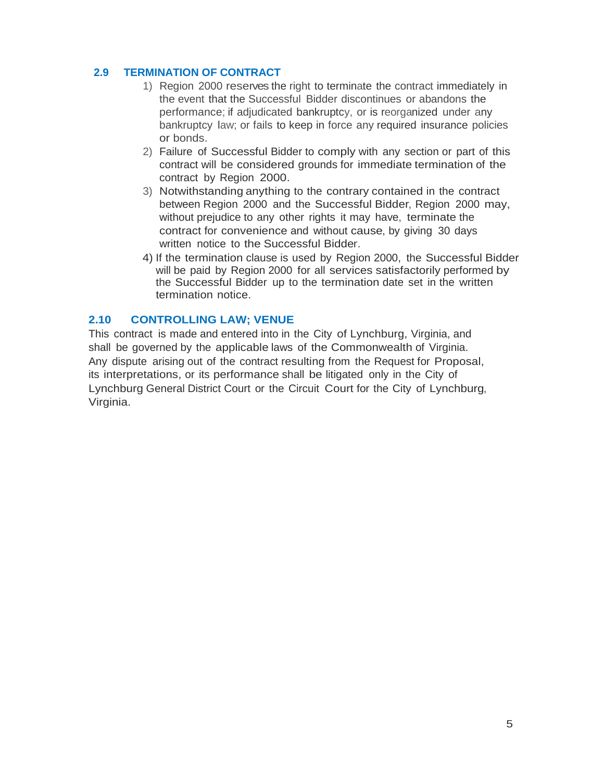### **2.9 TERMINATION OF CONTRACT**

- 1) Region 2000 reserves the right to terminate the contract immediately in the event that the Successful Bidder discontinues or abandons the performance; if adjudicated bankruptcy, or is reorganized under any bankruptcy law; or fails to keep in force any required insurance policies or bonds.
- 2) Failure of Successful Bidder to comply with any section or part of this contract will be considered grounds for immediate termination of the contract by Region 2000.
- 3) Notwithstanding anything to the contrary contained in the contract between Region 2000 and the Successful Bidder, Region 2000 may, without prejudice to any other rights it may have, terminate the contract for convenience and without cause, by giving 30 days written notice to the Successful Bidder.
- 4) If the termination clause is used by Region 2000, the Successful Bidder will be paid by Region 2000 for all services satisfactorily performed by the Successful Bidder up to the termination date set in the written termination notice.

#### **2.10 CONTROLLING LAW; VENUE**

This contract is made and entered into in the City of Lynchburg, Virginia, and shall be governed by the applicable laws of the Commonwealth of Virginia. Any dispute arising out of the contract resulting from the Request for Proposal, its interpretations, or its performance shall be litigated only in the City of Lynchburg General District Court or the Circuit Court for the City of Lynchburg, Virginia.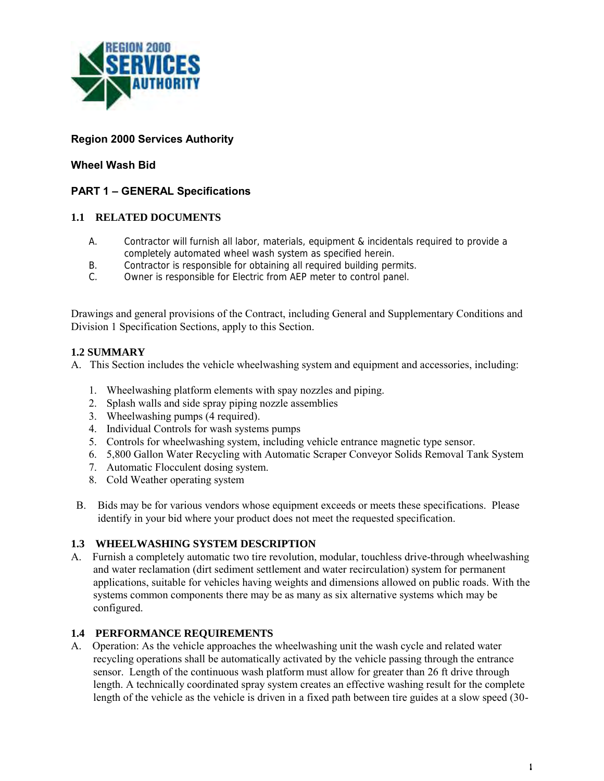

# **Region 2000 Services Authority**

### **Wheel Wash Bid**

# **PART 1 – GENERAL Specifications**

#### **1.1 RELATED DOCUMENTS**

- A. Contractor will furnish all labor, materials, equipment & incidentals required to provide a completely automated wheel wash system as specified herein.
- B. Contractor is responsible for obtaining all required building permits.
- C. Owner is responsible for Electric from AEP meter to control panel.

Drawings and general provisions of the Contract, including General and Supplementary Conditions and Division 1 Specification Sections, apply to this Section.

#### **1.2 SUMMARY**

A. This Section includes the vehicle wheelwashing system and equipment and accessories, including:

- 1. Wheelwashing platform elements with spay nozzles and piping.
- 2. Splash walls and side spray piping nozzle assemblies
- 3. Wheelwashing pumps (4 required).
- 4. Individual Controls for wash systems pumps
- 5. Controls for wheelwashing system, including vehicle entrance magnetic type sensor.
- 6. 5,800 Gallon Water Recycling with Automatic Scraper Conveyor Solids Removal Tank System
- 7. Automatic Flocculent dosing system.
- 8. Cold Weather operating system
- B. Bids may be for various vendors whose equipment exceeds or meets these specifications. Please identify in your bid where your product does not meet the requested specification.

#### **1.3 WHEELWASHING SYSTEM DESCRIPTION**

A. Furnish a completely automatic two tire revolution, modular, touchless drive-through wheelwashing and water reclamation (dirt sediment settlement and water recirculation) system for permanent applications, suitable for vehicles having weights and dimensions allowed on public roads. With the systems common components there may be as many as six alternative systems which may be configured.

#### **1.4 PERFORMANCE REQUIREMENTS**

A. Operation: As the vehicle approaches the wheelwashing unit the wash cycle and related water recycling operations shall be automatically activated by the vehicle passing through the entrance sensor. Length of the continuous wash platform must allow for greater than 26 ft drive through length. A technically coordinated spray system creates an effective washing result for the complete length of the vehicle as the vehicle is driven in a fixed path between tire guides at a slow speed (30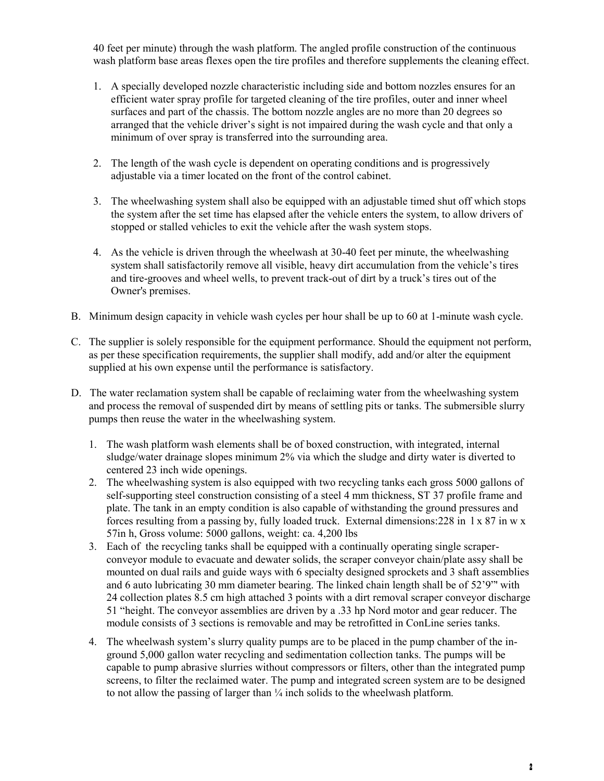40 feet per minute) through the wash platform. The angled profile construction of the continuous wash platform base areas flexes open the tire profiles and therefore supplements the cleaning effect.

- 1. A specially developed nozzle characteristic including side and bottom nozzles ensures for an efficient water spray profile for targeted cleaning of the tire profiles, outer and inner wheel surfaces and part of the chassis. The bottom nozzle angles are no more than 20 degrees so arranged that the vehicle driver's sight is not impaired during the wash cycle and that only a minimum of over spray is transferred into the surrounding area.
- 2. The length of the wash cycle is dependent on operating conditions and is progressively adjustable via a timer located on the front of the control cabinet.
- 3. The wheelwashing system shall also be equipped with an adjustable timed shut off which stops the system after the set time has elapsed after the vehicle enters the system, to allow drivers of stopped or stalled vehicles to exit the vehicle after the wash system stops.
- 4. As the vehicle is driven through the wheelwash at 30-40 feet per minute, the wheelwashing system shall satisfactorily remove all visible, heavy dirt accumulation from the vehicle's tires and tire-grooves and wheel wells, to prevent track-out of dirt by a truck's tires out of the Owner's premises.
- B. Minimum design capacity in vehicle wash cycles per hour shall be up to 60 at 1-minute wash cycle.
- C. The supplier is solely responsible for the equipment performance. Should the equipment not perform, as per these specification requirements, the supplier shall modify, add and/or alter the equipment supplied at his own expense until the performance is satisfactory.
- D. The water reclamation system shall be capable of reclaiming water from the wheelwashing system and process the removal of suspended dirt by means of settling pits or tanks. The submersible slurry pumps then reuse the water in the wheelwashing system.
	- 1. The wash platform wash elements shall be of boxed construction, with integrated, internal sludge/water drainage slopes minimum 2% via which the sludge and dirty water is diverted to centered 23 inch wide openings.
	- 2. The wheelwashing system is also equipped with two recycling tanks each gross 5000 gallons of self-supporting steel construction consisting of a steel 4 mm thickness, ST 37 profile frame and plate. The tank in an empty condition is also capable of withstanding the ground pressures and forces resulting from a passing by, fully loaded truck. External dimensions:228 in l x 87 in w x 57in h, Gross volume: 5000 gallons, weight: ca. 4,200 lbs
	- 3. Each of the recycling tanks shall be equipped with a continually operating single scraperconveyor module to evacuate and dewater solids, the scraper conveyor chain/plate assy shall be mounted on dual rails and guide ways with 6 specialty designed sprockets and 3 shaft assemblies and 6 auto lubricating 30 mm diameter bearing. The linked chain length shall be of 52'9"' with 24 collection plates 8.5 cm high attached 3 points with a dirt removal scraper conveyor discharge 51 "height. The conveyor assemblies are driven by a .33 hp Nord motor and gear reducer. The module consists of 3 sections is removable and may be retrofitted in ConLine series tanks.
	- 4. The wheelwash system's slurry quality pumps are to be placed in the pump chamber of the inground 5,000 gallon water recycling and sedimentation collection tanks. The pumps will be capable to pump abrasive slurries without compressors or filters, other than the integrated pump screens, to filter the reclaimed water. The pump and integrated screen system are to be designed to not allow the passing of larger than  $\frac{1}{4}$  inch solids to the wheelwash platform.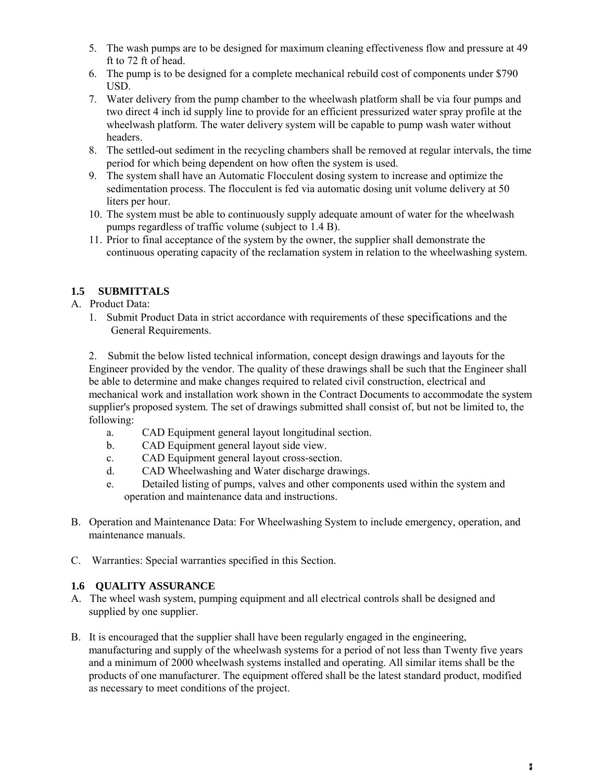- 5. The wash pumps are to be designed for maximum cleaning effectiveness flow and pressure at 49 ft to 72 ft of head.
- 6. The pump is to be designed for a complete mechanical rebuild cost of components under \$790 USD.
- 7. Water delivery from the pump chamber to the wheelwash platform shall be via four pumps and two direct 4 inch id supply line to provide for an efficient pressurized water spray profile at the wheelwash platform. The water delivery system will be capable to pump wash water without headers.
- 8. The settled-out sediment in the recycling chambers shall be removed at regular intervals, the time period for which being dependent on how often the system is used.
- 9. The system shall have an Automatic Flocculent dosing system to increase and optimize the sedimentation process. The flocculent is fed via automatic dosing unit volume delivery at 50 liters per hour.
- 10. The system must be able to continuously supply adequate amount of water for the wheelwash pumps regardless of traffic volume (subject to 1.4 B).
- 11. Prior to final acceptance of the system by the owner, the supplier shall demonstrate the continuous operating capacity of the reclamation system in relation to the wheelwashing system.

# **1.5 SUBMITTALS**

- A. Product Data:
	- 1. Submit Product Data in strict accordance with requirements of these specifications and the General Requirements.

2. Submit the below listed technical information, concept design drawings and layouts for the Engineer provided by the vendor. The quality of these drawings shall be such that the Engineer shall be able to determine and make changes required to related civil construction, electrical and mechanical work and installation work shown in the Contract Documents to accommodate the system supplier's proposed system. The set of drawings submitted shall consist of, but not be limited to, the following:

- a. CAD Equipment general layout longitudinal section.
- b. CAD Equipment general layout side view.
- c. CAD Equipment general layout cross-section.
- d. CAD Wheelwashing and Water discharge drawings.
- e. Detailed listing of pumps, valves and other components used within the system and operation and maintenance data and instructions.
- B. Operation and Maintenance Data: For Wheelwashing System to include emergency, operation, and maintenance manuals.
- C. Warranties: Special warranties specified in this Section.

# **1.6 QUALITY ASSURANCE**

- A. The wheel wash system, pumping equipment and all electrical controls shall be designed and supplied by one supplier.
- B. It is encouraged that the supplier shall have been regularly engaged in the engineering, manufacturing and supply of the wheelwash systems for a period of not less than Twenty five years and a minimum of 2000 wheelwash systems installed and operating. All similar items shall be the products of one manufacturer. The equipment offered shall be the latest standard product, modified as necessary to meet conditions of the project.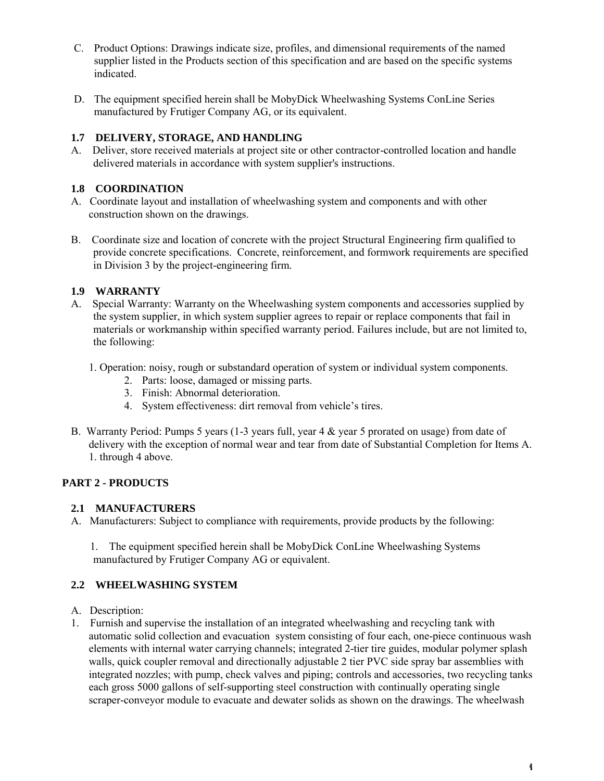- C. Product Options: Drawings indicate size, profiles, and dimensional requirements of the named supplier listed in the Products section of this specification and are based on the specific systems indicated.
- D. The equipment specified herein shall be MobyDick Wheelwashing Systems ConLine Series manufactured by Frutiger Company AG, or its equivalent.

#### **1.7 DELIVERY, STORAGE, AND HANDLING**

A. Deliver, store received materials at project site or other contractor-controlled location and handle delivered materials in accordance with system supplier's instructions.

### **1.8 COORDINATION**

- A. Coordinate layout and installation of wheelwashing system and components and with other construction shown on the drawings.
- B. Coordinate size and location of concrete with the project Structural Engineering firm qualified to provide concrete specifications. Concrete, reinforcement, and formwork requirements are specified in Division 3 by the project-engineering firm.

#### **1.9 WARRANTY**

- A. Special Warranty: Warranty on the Wheelwashing system components and accessories supplied by the system supplier, in which system supplier agrees to repair or replace components that fail in materials or workmanship within specified warranty period. Failures include, but are not limited to, the following:
	- 1. Operation: noisy, rough or substandard operation of system or individual system components.
		- 2. Parts: loose, damaged or missing parts.
		- 3. Finish: Abnormal deterioration.
		- 4. System effectiveness: dirt removal from vehicle's tires.
- B. Warranty Period: Pumps 5 years (1-3 years full, year 4 & year 5 prorated on usage) from date of delivery with the exception of normal wear and tear from date of Substantial Completion for Items A. 1. through 4 above.

# **PART 2 - PRODUCTS**

#### **2.1 MANUFACTURERS**

A. Manufacturers: Subject to compliance with requirements, provide products by the following:

 1. The equipment specified herein shall be MobyDick ConLine Wheelwashing Systems manufactured by Frutiger Company AG or equivalent.

#### **2.2 WHEELWASHING SYSTEM**

- A. Description:
- 1. Furnish and supervise the installation of an integrated wheelwashing and recycling tank with automatic solid collection and evacuation system consisting of four each, one-piece continuous wash elements with internal water carrying channels; integrated 2-tier tire guides, modular polymer splash walls, quick coupler removal and directionally adjustable 2 tier PVC side spray bar assemblies with integrated nozzles; with pump, check valves and piping; controls and accessories, two recycling tanks each gross 5000 gallons of self-supporting steel construction with continually operating single scraper-conveyor module to evacuate and dewater solids as shown on the drawings. The wheelwash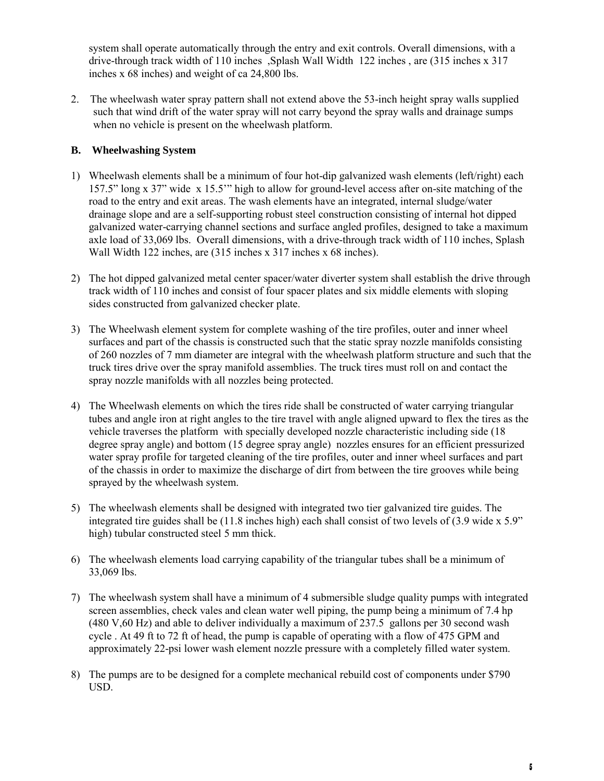system shall operate automatically through the entry and exit controls. Overall dimensions, with a drive-through track width of 110 inches ,Splash Wall Width 122 inches , are (315 inches x 317 inches x 68 inches) and weight of ca 24,800 lbs.

2. The wheelwash water spray pattern shall not extend above the 53-inch height spray walls supplied such that wind drift of the water spray will not carry beyond the spray walls and drainage sumps when no vehicle is present on the wheelwash platform.

### **B. Wheelwashing System**

- 1) Wheelwash elements shall be a minimum of four hot-dip galvanized wash elements (left/right) each 157.5" long x 37" wide x 15.5'" high to allow for ground-level access after on-site matching of the road to the entry and exit areas. The wash elements have an integrated, internal sludge/water drainage slope and are a self-supporting robust steel construction consisting of internal hot dipped galvanized water-carrying channel sections and surface angled profiles, designed to take a maximum axle load of 33,069 lbs. Overall dimensions, with a drive-through track width of 110 inches, Splash Wall Width 122 inches, are (315 inches x 317 inches x 68 inches).
- 2) The hot dipped galvanized metal center spacer/water diverter system shall establish the drive through track width of 110 inches and consist of four spacer plates and six middle elements with sloping sides constructed from galvanized checker plate.
- 3) The Wheelwash element system for complete washing of the tire profiles, outer and inner wheel surfaces and part of the chassis is constructed such that the static spray nozzle manifolds consisting of 260 nozzles of 7 mm diameter are integral with the wheelwash platform structure and such that the truck tires drive over the spray manifold assemblies. The truck tires must roll on and contact the spray nozzle manifolds with all nozzles being protected.
- 4) The Wheelwash elements on which the tires ride shall be constructed of water carrying triangular tubes and angle iron at right angles to the tire travel with angle aligned upward to flex the tires as the vehicle traverses the platform with specially developed nozzle characteristic including side (18 degree spray angle) and bottom (15 degree spray angle) nozzles ensures for an efficient pressurized water spray profile for targeted cleaning of the tire profiles, outer and inner wheel surfaces and part of the chassis in order to maximize the discharge of dirt from between the tire grooves while being sprayed by the wheelwash system.
- 5) The wheelwash elements shall be designed with integrated two tier galvanized tire guides. The integrated tire guides shall be (11.8 inches high) each shall consist of two levels of (3.9 wide x 5.9" high) tubular constructed steel 5 mm thick.
- 6) The wheelwash elements load carrying capability of the triangular tubes shall be a minimum of 33,069 lbs.
- 7) The wheelwash system shall have a minimum of 4 submersible sludge quality pumps with integrated screen assemblies, check vales and clean water well piping, the pump being a minimum of 7.4 hp (480 V,60 Hz) and able to deliver individually a maximum of 237.5 gallons per 30 second wash cycle . At 49 ft to 72 ft of head, the pump is capable of operating with a flow of 475 GPM and approximately 22-psi lower wash element nozzle pressure with a completely filled water system.
- 8) The pumps are to be designed for a complete mechanical rebuild cost of components under \$790 USD.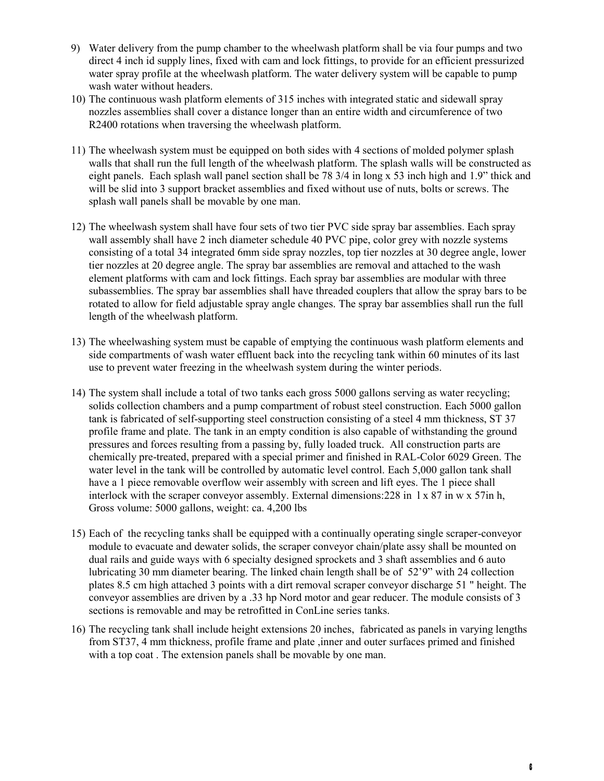- 9) Water delivery from the pump chamber to the wheelwash platform shall be via four pumps and two direct 4 inch id supply lines, fixed with cam and lock fittings, to provide for an efficient pressurized water spray profile at the wheelwash platform. The water delivery system will be capable to pump wash water without headers.
- 10) The continuous wash platform elements of 315 inches with integrated static and sidewall spray nozzles assemblies shall cover a distance longer than an entire width and circumference of two R2400 rotations when traversing the wheelwash platform.
- 11) The wheelwash system must be equipped on both sides with 4 sections of molded polymer splash walls that shall run the full length of the wheelwash platform. The splash walls will be constructed as eight panels. Each splash wall panel section shall be 78 3/4 in long x 53 inch high and 1.9" thick and will be slid into 3 support bracket assemblies and fixed without use of nuts, bolts or screws. The splash wall panels shall be movable by one man.
- 12) The wheelwash system shall have four sets of two tier PVC side spray bar assemblies. Each spray wall assembly shall have 2 inch diameter schedule 40 PVC pipe, color grey with nozzle systems consisting of a total 34 integrated 6mm side spray nozzles, top tier nozzles at 30 degree angle, lower tier nozzles at 20 degree angle. The spray bar assemblies are removal and attached to the wash element platforms with cam and lock fittings. Each spray bar assemblies are modular with three subassemblies. The spray bar assemblies shall have threaded couplers that allow the spray bars to be rotated to allow for field adjustable spray angle changes. The spray bar assemblies shall run the full length of the wheelwash platform.
- 13) The wheelwashing system must be capable of emptying the continuous wash platform elements and side compartments of wash water effluent back into the recycling tank within 60 minutes of its last use to prevent water freezing in the wheelwash system during the winter periods.
- 14) The system shall include a total of two tanks each gross 5000 gallons serving as water recycling; solids collection chambers and a pump compartment of robust steel construction. Each 5000 gallon tank is fabricated of self-supporting steel construction consisting of a steel 4 mm thickness, ST 37 profile frame and plate. The tank in an empty condition is also capable of withstanding the ground pressures and forces resulting from a passing by, fully loaded truck. All construction parts are chemically pre-treated, prepared with a special primer and finished in RAL-Color 6029 Green. The water level in the tank will be controlled by automatic level control. Each 5,000 gallon tank shall have a 1 piece removable overflow weir assembly with screen and lift eyes. The 1 piece shall interlock with the scraper conveyor assembly. External dimensions:228 in  $1 \times 87$  in w  $\times 57$ in h, Gross volume: 5000 gallons, weight: ca. 4,200 lbs
- 15) Each of the recycling tanks shall be equipped with a continually operating single scraper-conveyor module to evacuate and dewater solids, the scraper conveyor chain/plate assy shall be mounted on dual rails and guide ways with 6 specialty designed sprockets and 3 shaft assemblies and 6 auto lubricating 30 mm diameter bearing. The linked chain length shall be of 52'9" with 24 collection plates 8.5 cm high attached 3 points with a dirt removal scraper conveyor discharge 51 " height. The conveyor assemblies are driven by a .33 hp Nord motor and gear reducer. The module consists of 3 sections is removable and may be retrofitted in ConLine series tanks.
- 16) The recycling tank shall include height extensions 20 inches, fabricated as panels in varying lengths from ST37, 4 mm thickness, profile frame and plate ,inner and outer surfaces primed and finished with a top coat . The extension panels shall be movable by one man.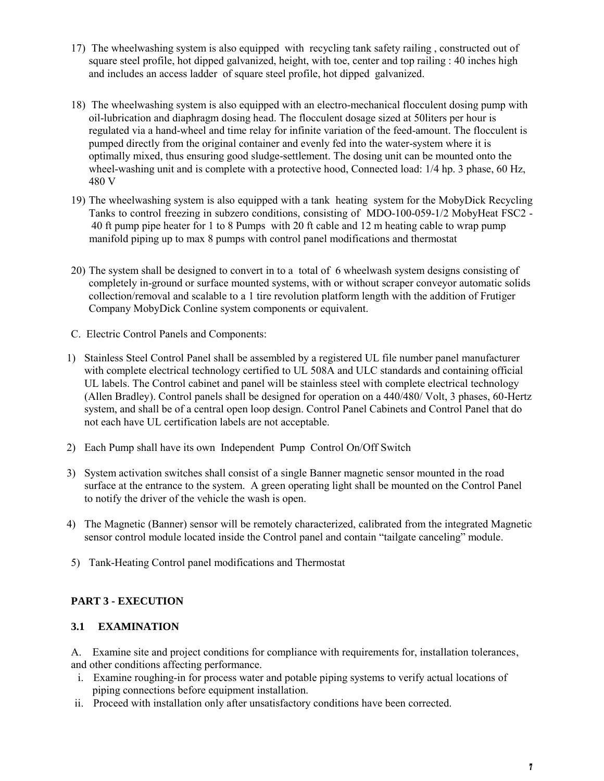- 17) The wheelwashing system is also equipped with recycling tank safety railing , constructed out of square steel profile, hot dipped galvanized, height, with toe, center and top railing : 40 inches high and includes an access ladder of square steel profile, hot dipped galvanized.
- 18) The wheelwashing system is also equipped with an electro-mechanical flocculent dosing pump with oil-lubrication and diaphragm dosing head. The flocculent dosage sized at 50liters per hour is regulated via a hand-wheel and time relay for infinite variation of the feed-amount. The flocculent is pumped directly from the original container and evenly fed into the water-system where it is optimally mixed, thus ensuring good sludge-settlement. The dosing unit can be mounted onto the wheel-washing unit and is complete with a protective hood, Connected load: 1/4 hp. 3 phase, 60 Hz, 480 V
- 19) The wheelwashing system is also equipped with a tank heating system for the MobyDick Recycling Tanks to control freezing in subzero conditions, consisting of MDO-100-059-1/2 MobyHeat FSC2 - 40 ft pump pipe heater for 1 to 8 Pumps with 20 ft cable and 12 m heating cable to wrap pump manifold piping up to max 8 pumps with control panel modifications and thermostat
- 20) The system shall be designed to convert in to a total of 6 wheelwash system designs consisting of completely in-ground or surface mounted systems, with or without scraper conveyor automatic solids collection/removal and scalable to a 1 tire revolution platform length with the addition of Frutiger Company MobyDick Conline system components or equivalent.
- C. Electric Control Panels and Components:
- 1) Stainless Steel Control Panel shall be assembled by a registered UL file number panel manufacturer with complete electrical technology certified to UL 508A and ULC standards and containing official UL labels. The Control cabinet and panel will be stainless steel with complete electrical technology (Allen Bradley). Control panels shall be designed for operation on a 440/480/ Volt, 3 phases, 60-Hertz system, and shall be of a central open loop design. Control Panel Cabinets and Control Panel that do not each have UL certification labels are not acceptable.
- 2) Each Pump shall have its own Independent Pump Control On/Off Switch
- 3) System activation switches shall consist of a single Banner magnetic sensor mounted in the road surface at the entrance to the system. A green operating light shall be mounted on the Control Panel to notify the driver of the vehicle the wash is open.
- 4) The Magnetic (Banner) sensor will be remotely characterized, calibrated from the integrated Magnetic sensor control module located inside the Control panel and contain "tailgate canceling" module.
- 5) Tank-Heating Control panel modifications and Thermostat

# **PART 3 - EXECUTION**

#### **3.1 EXAMINATION**

A. Examine site and project conditions for compliance with requirements for, installation tolerances, and other conditions affecting performance.

- i. Examine roughing-in for process water and potable piping systems to verify actual locations of piping connections before equipment installation.
- ii. Proceed with installation only after unsatisfactory conditions have been corrected.